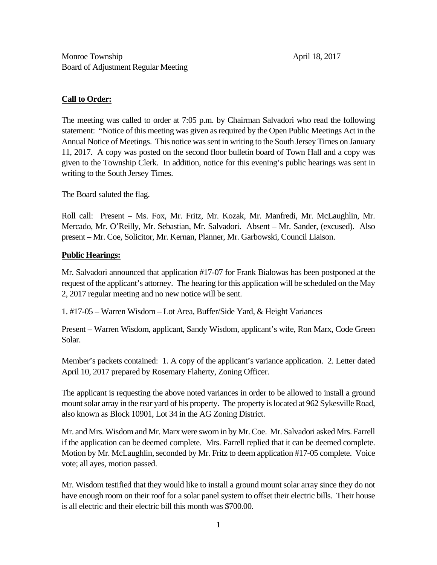## **Call to Order:**

The meeting was called to order at 7:05 p.m. by Chairman Salvadori who read the following statement: "Notice of this meeting was given as required by the Open Public Meetings Act in the Annual Notice of Meetings. This notice was sent in writing to the South Jersey Times on January 11, 2017. A copy was posted on the second floor bulletin board of Town Hall and a copy was given to the Township Clerk. In addition, notice for this evening's public hearings was sent in writing to the South Jersey Times.

The Board saluted the flag.

Roll call: Present – Ms. Fox, Mr. Fritz, Mr. Kozak, Mr. Manfredi, Mr. McLaughlin, Mr. Mercado, Mr. O'Reilly, Mr. Sebastian, Mr. Salvadori. Absent – Mr. Sander, (excused). Also present – Mr. Coe, Solicitor, Mr. Kernan, Planner, Mr. Garbowski, Council Liaison.

## **Public Hearings:**

Mr. Salvadori announced that application #17-07 for Frank Bialowas has been postponed at the request of the applicant's attorney. The hearing for this application will be scheduled on the May 2, 2017 regular meeting and no new notice will be sent.

1. #17-05 – Warren Wisdom – Lot Area, Buffer/Side Yard, & Height Variances

Present – Warren Wisdom, applicant, Sandy Wisdom, applicant's wife, Ron Marx, Code Green Solar.

Member's packets contained: 1. A copy of the applicant's variance application. 2. Letter dated April 10, 2017 prepared by Rosemary Flaherty, Zoning Officer.

The applicant is requesting the above noted variances in order to be allowed to install a ground mount solar array in the rear yard of his property. The property is located at 962 Sykesville Road, also known as Block 10901, Lot 34 in the AG Zoning District.

Mr. and Mrs. Wisdom and Mr. Marx were sworn in by Mr. Coe. Mr. Salvadori asked Mrs. Farrell if the application can be deemed complete. Mrs. Farrell replied that it can be deemed complete. Motion by Mr. McLaughlin, seconded by Mr. Fritz to deem application #17-05 complete. Voice vote; all ayes, motion passed.

Mr. Wisdom testified that they would like to install a ground mount solar array since they do not have enough room on their roof for a solar panel system to offset their electric bills. Their house is all electric and their electric bill this month was \$700.00.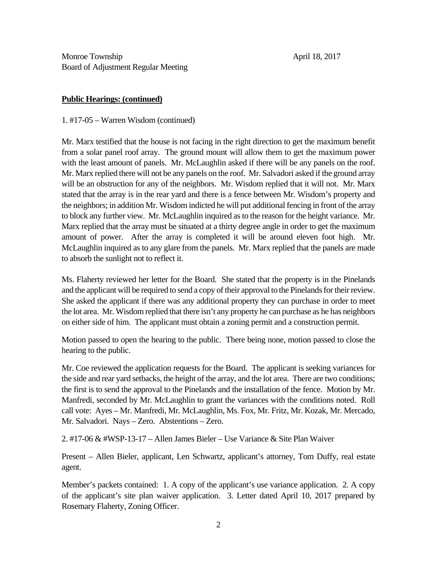## **Public Hearings: (continued)**

1. #17-05 – Warren Wisdom (continued)

Mr. Marx testified that the house is not facing in the right direction to get the maximum benefit from a solar panel roof array. The ground mount will allow them to get the maximum power with the least amount of panels. Mr. McLaughlin asked if there will be any panels on the roof. Mr. Marx replied there will not be any panels on the roof. Mr. Salvadori asked if the ground array will be an obstruction for any of the neighbors. Mr. Wisdom replied that it will not. Mr. Marx stated that the array is in the rear yard and there is a fence between Mr. Wisdom's property and the neighbors; in addition Mr. Wisdom indicted he will put additional fencing in front of the array to block any further view. Mr. McLaughlin inquired as to the reason for the height variance. Mr. Marx replied that the array must be situated at a thirty degree angle in order to get the maximum amount of power. After the array is completed it will be around eleven foot high. Mr. McLaughlin inquired as to any glare from the panels. Mr. Marx replied that the panels are made to absorb the sunlight not to reflect it.

Ms. Flaherty reviewed her letter for the Board. She stated that the property is in the Pinelands and the applicant will be required to send a copy of their approval to the Pinelands for their review. She asked the applicant if there was any additional property they can purchase in order to meet the lot area. Mr. Wisdom replied that there isn't any property he can purchase as he has neighbors on either side of him. The applicant must obtain a zoning permit and a construction permit.

Motion passed to open the hearing to the public. There being none, motion passed to close the hearing to the public.

Mr. Coe reviewed the application requests for the Board. The applicant is seeking variances for the side and rear yard setbacks, the height of the array, and the lot area. There are two conditions; the first is to send the approval to the Pinelands and the installation of the fence. Motion by Mr. Manfredi, seconded by Mr. McLaughlin to grant the variances with the conditions noted. Roll call vote: Ayes – Mr. Manfredi, Mr. McLaughlin, Ms. Fox, Mr. Fritz, Mr. Kozak, Mr. Mercado, Mr. Salvadori. Nays – Zero. Abstentions – Zero.

2. #17-06 & #WSP-13-17 – Allen James Bieler – Use Variance & Site Plan Waiver

Present – Allen Bieler, applicant, Len Schwartz, applicant's attorney, Tom Duffy, real estate agent.

Member's packets contained: 1. A copy of the applicant's use variance application. 2. A copy of the applicant's site plan waiver application. 3. Letter dated April 10, 2017 prepared by Rosemary Flaherty, Zoning Officer.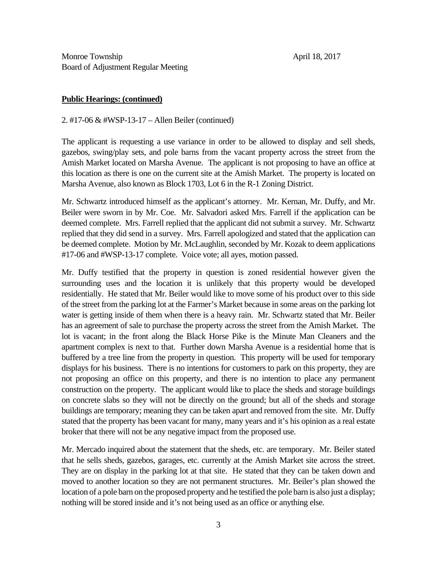## **Public Hearings: (continued)**

2. #17-06 & #WSP-13-17 – Allen Beiler (continued)

The applicant is requesting a use variance in order to be allowed to display and sell sheds, gazebos, swing/play sets, and pole barns from the vacant property across the street from the Amish Market located on Marsha Avenue. The applicant is not proposing to have an office at this location as there is one on the current site at the Amish Market. The property is located on Marsha Avenue, also known as Block 1703, Lot 6 in the R-1 Zoning District.

Mr. Schwartz introduced himself as the applicant's attorney. Mr. Kernan, Mr. Duffy, and Mr. Beiler were sworn in by Mr. Coe. Mr. Salvadori asked Mrs. Farrell if the application can be deemed complete. Mrs. Farrell replied that the applicant did not submit a survey. Mr. Schwartz replied that they did send in a survey. Mrs. Farrell apologized and stated that the application can be deemed complete. Motion by Mr. McLaughlin, seconded by Mr. Kozak to deem applications #17-06 and #WSP-13-17 complete. Voice vote; all ayes, motion passed.

Mr. Duffy testified that the property in question is zoned residential however given the surrounding uses and the location it is unlikely that this property would be developed residentially. He stated that Mr. Beiler would like to move some of his product over to this side of the street from the parking lot at the Farmer's Market because in some areas on the parking lot water is getting inside of them when there is a heavy rain. Mr. Schwartz stated that Mr. Beiler has an agreement of sale to purchase the property across the street from the Amish Market. The lot is vacant; in the front along the Black Horse Pike is the Minute Man Cleaners and the apartment complex is next to that. Further down Marsha Avenue is a residential home that is buffered by a tree line from the property in question. This property will be used for temporary displays for his business. There is no intentions for customers to park on this property, they are not proposing an office on this property, and there is no intention to place any permanent construction on the property. The applicant would like to place the sheds and storage buildings on concrete slabs so they will not be directly on the ground; but all of the sheds and storage buildings are temporary; meaning they can be taken apart and removed from the site. Mr. Duffy stated that the property has been vacant for many, many years and it's his opinion as a real estate broker that there will not be any negative impact from the proposed use.

Mr. Mercado inquired about the statement that the sheds, etc. are temporary. Mr. Beiler stated that he sells sheds, gazebos, garages, etc. currently at the Amish Market site across the street. They are on display in the parking lot at that site. He stated that they can be taken down and moved to another location so they are not permanent structures. Mr. Beiler's plan showed the location of a pole barn on the proposed property and he testified the pole barn is also just a display; nothing will be stored inside and it's not being used as an office or anything else.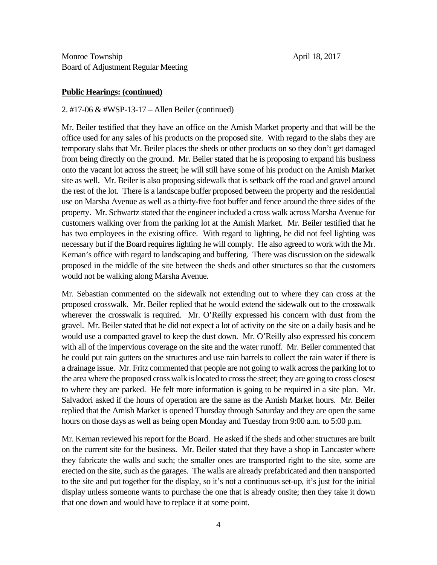## **Public Hearings: (continued)**

## 2. #17-06 & #WSP-13-17 – Allen Beiler (continued)

Mr. Beiler testified that they have an office on the Amish Market property and that will be the office used for any sales of his products on the proposed site. With regard to the slabs they are temporary slabs that Mr. Beiler places the sheds or other products on so they don't get damaged from being directly on the ground. Mr. Beiler stated that he is proposing to expand his business onto the vacant lot across the street; he will still have some of his product on the Amish Market site as well. Mr. Beiler is also proposing sidewalk that is setback off the road and gravel around the rest of the lot. There is a landscape buffer proposed between the property and the residential use on Marsha Avenue as well as a thirty-five foot buffer and fence around the three sides of the property. Mr. Schwartz stated that the engineer included a cross walk across Marsha Avenue for customers walking over from the parking lot at the Amish Market. Mr. Beiler testified that he has two employees in the existing office. With regard to lighting, he did not feel lighting was necessary but if the Board requires lighting he will comply. He also agreed to work with the Mr. Kernan's office with regard to landscaping and buffering. There was discussion on the sidewalk proposed in the middle of the site between the sheds and other structures so that the customers would not be walking along Marsha Avenue.

Mr. Sebastian commented on the sidewalk not extending out to where they can cross at the proposed crosswalk. Mr. Beiler replied that he would extend the sidewalk out to the crosswalk wherever the crosswalk is required. Mr. O'Reilly expressed his concern with dust from the gravel. Mr. Beiler stated that he did not expect a lot of activity on the site on a daily basis and he would use a compacted gravel to keep the dust down. Mr. O'Reilly also expressed his concern with all of the impervious coverage on the site and the water runoff. Mr. Beiler commented that he could put rain gutters on the structures and use rain barrels to collect the rain water if there is a drainage issue. Mr. Fritz commented that people are not going to walk across the parking lot to the area where the proposed cross walk is located to cross the street; they are going to cross closest to where they are parked. He felt more information is going to be required in a site plan. Mr. Salvadori asked if the hours of operation are the same as the Amish Market hours. Mr. Beiler replied that the Amish Market is opened Thursday through Saturday and they are open the same hours on those days as well as being open Monday and Tuesday from 9:00 a.m. to 5:00 p.m.

Mr. Kernan reviewed his report for the Board. He asked if the sheds and other structures are built on the current site for the business. Mr. Beiler stated that they have a shop in Lancaster where they fabricate the walls and such; the smaller ones are transported right to the site, some are erected on the site, such as the garages. The walls are already prefabricated and then transported to the site and put together for the display, so it's not a continuous set-up, it's just for the initial display unless someone wants to purchase the one that is already onsite; then they take it down that one down and would have to replace it at some point.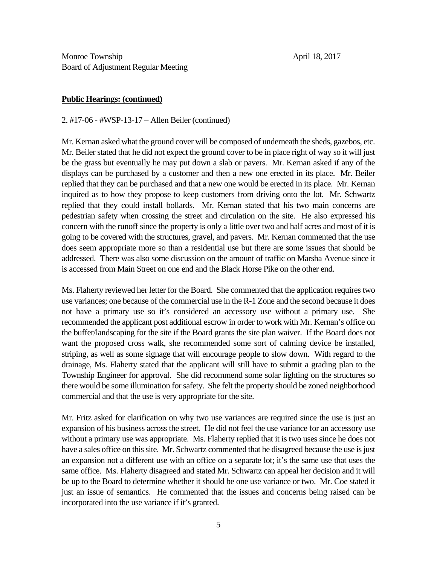#### **Public Hearings: (continued)**

2. #17-06 - #WSP-13-17 – Allen Beiler (continued)

Mr. Kernan asked what the ground cover will be composed of underneath the sheds, gazebos, etc. Mr. Beiler stated that he did not expect the ground cover to be in place right of way so it will just be the grass but eventually he may put down a slab or pavers. Mr. Kernan asked if any of the displays can be purchased by a customer and then a new one erected in its place. Mr. Beiler replied that they can be purchased and that a new one would be erected in its place. Mr. Kernan inquired as to how they propose to keep customers from driving onto the lot. Mr. Schwartz replied that they could install bollards. Mr. Kernan stated that his two main concerns are pedestrian safety when crossing the street and circulation on the site. He also expressed his concern with the runoff since the property is only a little over two and half acres and most of it is going to be covered with the structures, gravel, and pavers. Mr. Kernan commented that the use does seem appropriate more so than a residential use but there are some issues that should be addressed. There was also some discussion on the amount of traffic on Marsha Avenue since it is accessed from Main Street on one end and the Black Horse Pike on the other end.

Ms. Flaherty reviewed her letter for the Board. She commented that the application requires two use variances; one because of the commercial use in the R-1 Zone and the second because it does not have a primary use so it's considered an accessory use without a primary use. She recommended the applicant post additional escrow in order to work with Mr. Kernan's office on the buffer/landscaping for the site if the Board grants the site plan waiver. If the Board does not want the proposed cross walk, she recommended some sort of calming device be installed, striping, as well as some signage that will encourage people to slow down. With regard to the drainage, Ms. Flaherty stated that the applicant will still have to submit a grading plan to the Township Engineer for approval. She did recommend some solar lighting on the structures so there would be some illumination for safety. She felt the property should be zoned neighborhood commercial and that the use is very appropriate for the site.

Mr. Fritz asked for clarification on why two use variances are required since the use is just an expansion of his business across the street. He did not feel the use variance for an accessory use without a primary use was appropriate. Ms. Flaherty replied that it is two uses since he does not have a sales office on this site. Mr. Schwartz commented that he disagreed because the use is just an expansion not a different use with an office on a separate lot; it's the same use that uses the same office. Ms. Flaherty disagreed and stated Mr. Schwartz can appeal her decision and it will be up to the Board to determine whether it should be one use variance or two. Mr. Coe stated it just an issue of semantics. He commented that the issues and concerns being raised can be incorporated into the use variance if it's granted.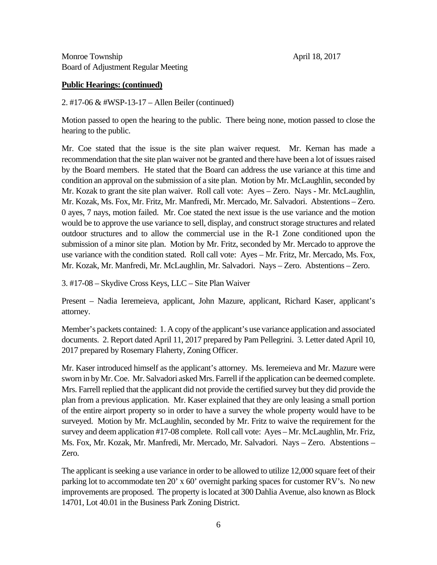## **Public Hearings: (continued)**

2. #17-06 & #WSP-13-17 – Allen Beiler (continued)

Motion passed to open the hearing to the public. There being none, motion passed to close the hearing to the public.

Mr. Coe stated that the issue is the site plan waiver request. Mr. Kernan has made a recommendation that the site plan waiver not be granted and there have been a lot of issues raised by the Board members. He stated that the Board can address the use variance at this time and condition an approval on the submission of a site plan. Motion by Mr. McLaughlin, seconded by Mr. Kozak to grant the site plan waiver. Roll call vote: Ayes – Zero. Nays - Mr. McLaughlin, Mr. Kozak, Ms. Fox, Mr. Fritz, Mr. Manfredi, Mr. Mercado, Mr. Salvadori. Abstentions – Zero. 0 ayes, 7 nays, motion failed. Mr. Coe stated the next issue is the use variance and the motion would be to approve the use variance to sell, display, and construct storage structures and related outdoor structures and to allow the commercial use in the R-1 Zone conditioned upon the submission of a minor site plan. Motion by Mr. Fritz, seconded by Mr. Mercado to approve the use variance with the condition stated. Roll call vote: Ayes – Mr. Fritz, Mr. Mercado, Ms. Fox, Mr. Kozak, Mr. Manfredi, Mr. McLaughlin, Mr. Salvadori. Nays – Zero. Abstentions – Zero.

3. #17-08 – Skydive Cross Keys, LLC – Site Plan Waiver

Present – Nadia Ieremeieva, applicant, John Mazure, applicant, Richard Kaser, applicant's attorney.

Member's packets contained: 1. A copy of the applicant's use variance application and associated documents. 2. Report dated April 11, 2017 prepared by Pam Pellegrini. 3. Letter dated April 10, 2017 prepared by Rosemary Flaherty, Zoning Officer.

Mr. Kaser introduced himself as the applicant's attorney. Ms. Ieremeieva and Mr. Mazure were sworn in by Mr. Coe. Mr. Salvadori asked Mrs. Farrell if the application can be deemed complete. Mrs. Farrell replied that the applicant did not provide the certified survey but they did provide the plan from a previous application. Mr. Kaser explained that they are only leasing a small portion of the entire airport property so in order to have a survey the whole property would have to be surveyed. Motion by Mr. McLaughlin, seconded by Mr. Fritz to waive the requirement for the survey and deem application #17-08 complete. Roll call vote: Ayes – Mr. McLaughlin, Mr. Friz, Ms. Fox, Mr. Kozak, Mr. Manfredi, Mr. Mercado, Mr. Salvadori. Nays – Zero. Abstentions – Zero.

The applicant is seeking a use variance in order to be allowed to utilize 12,000 square feet of their parking lot to accommodate ten 20' x 60' overnight parking spaces for customer RV's. No new improvements are proposed. The property is located at 300 Dahlia Avenue, also known as Block 14701, Lot 40.01 in the Business Park Zoning District.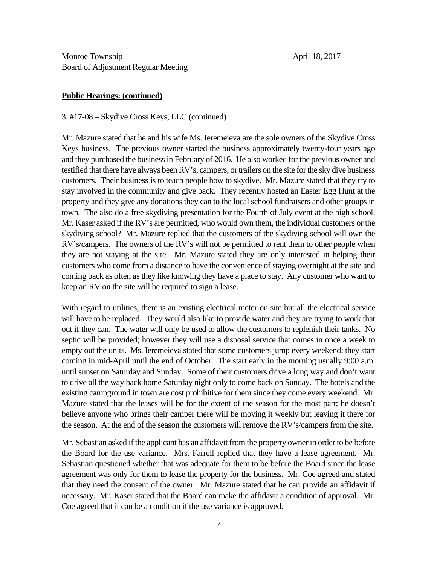## **Public Hearings: (continued)**

3. #17-08 – Skydive Cross Keys, LLC (continued)

Mr. Mazure stated that he and his wife Ms. Ieremeieva are the sole owners of the Skydive Cross Keys business. The previous owner started the business approximately twenty-four years ago and they purchased the business in February of 2016. He also worked for the previous owner and testified that there have always been RV's, campers, or trailers on the site for the sky dive business customers. Their business is to teach people how to skydive. Mr. Mazure stated that they try to stay involved in the community and give back. They recently hosted an Easter Egg Hunt at the property and they give any donations they can to the local school fundraisers and other groups in town. The also do a free skydiving presentation for the Fourth of July event at the high school. Mr. Kaser asked if the RV's are permitted, who would own them, the individual customers or the skydiving school? Mr. Mazure replied that the customers of the skydiving school will own the RV's/campers. The owners of the RV's will not be permitted to rent them to other people when they are not staying at the site. Mr. Mazure stated they are only interested in helping their customers who come from a distance to have the convenience of staying overnight at the site and coming back as often as they like knowing they have a place to stay. Any customer who want to keep an RV on the site will be required to sign a lease.

With regard to utilities, there is an existing electrical meter on site but all the electrical service will have to be replaced. They would also like to provide water and they are trying to work that out if they can. The water will only be used to allow the customers to replenish their tanks. No septic will be provided; however they will use a disposal service that comes in once a week to empty out the units. Ms. Ieremeieva stated that some customers jump every weekend; they start coming in mid-April until the end of October. The start early in the morning usually 9:00 a.m. until sunset on Saturday and Sunday. Some of their customers drive a long way and don't want to drive all the way back home Saturday night only to come back on Sunday. The hotels and the existing campground in town are cost prohibitive for them since they come every weekend. Mr. Mazure stated that the leases will be for the extent of the season for the most part; he doesn't believe anyone who brings their camper there will be moving it weekly but leaving it there for the season. At the end of the season the customers will remove the RV's/campers from the site.

Mr. Sebastian asked if the applicant has an affidavit from the property owner in order to be before the Board for the use variance. Mrs. Farrell replied that they have a lease agreement. Mr. Sebastian questioned whether that was adequate for them to be before the Board since the lease agreement was only for them to lease the property for the business. Mr. Coe agreed and stated that they need the consent of the owner. Mr. Mazure stated that he can provide an affidavit if necessary. Mr. Kaser stated that the Board can make the affidavit a condition of approval. Mr. Coe agreed that it can be a condition if the use variance is approved.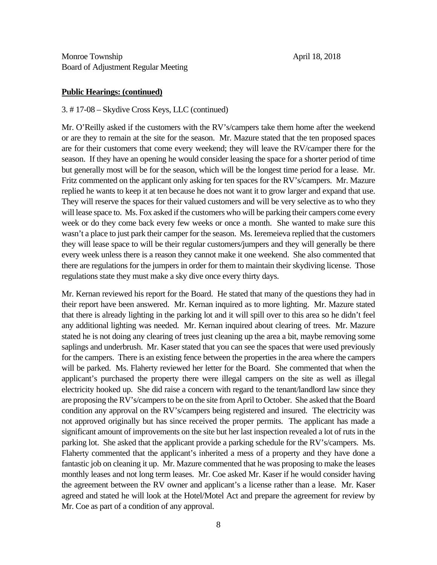### **Public Hearings: (continued)**

#### 3. # 17-08 – Skydive Cross Keys, LLC (continued)

Mr. O'Reilly asked if the customers with the RV's/campers take them home after the weekend or are they to remain at the site for the season. Mr. Mazure stated that the ten proposed spaces are for their customers that come every weekend; they will leave the RV/camper there for the season. If they have an opening he would consider leasing the space for a shorter period of time but generally most will be for the season, which will be the longest time period for a lease. Mr. Fritz commented on the applicant only asking for ten spaces for the RV's/campers. Mr. Mazure replied he wants to keep it at ten because he does not want it to grow larger and expand that use. They will reserve the spaces for their valued customers and will be very selective as to who they will lease space to. Ms. Fox asked if the customers who will be parking their campers come every week or do they come back every few weeks or once a month. She wanted to make sure this wasn't a place to just park their camper for the season. Ms. Ieremeieva replied that the customers they will lease space to will be their regular customers/jumpers and they will generally be there every week unless there is a reason they cannot make it one weekend. She also commented that there are regulations for the jumpers in order for them to maintain their skydiving license. Those regulations state they must make a sky dive once every thirty days.

Mr. Kernan reviewed his report for the Board. He stated that many of the questions they had in their report have been answered. Mr. Kernan inquired as to more lighting. Mr. Mazure stated that there is already lighting in the parking lot and it will spill over to this area so he didn't feel any additional lighting was needed. Mr. Kernan inquired about clearing of trees. Mr. Mazure stated he is not doing any clearing of trees just cleaning up the area a bit, maybe removing some saplings and underbrush. Mr. Kaser stated that you can see the spaces that were used previously for the campers. There is an existing fence between the properties in the area where the campers will be parked. Ms. Flaherty reviewed her letter for the Board. She commented that when the applicant's purchased the property there were illegal campers on the site as well as illegal electricity hooked up. She did raise a concern with regard to the tenant/landlord law since they are proposing the RV's/campers to be on the site from April to October. She asked that the Board condition any approval on the RV's/campers being registered and insured. The electricity was not approved originally but has since received the proper permits. The applicant has made a significant amount of improvements on the site but her last inspection revealed a lot of ruts in the parking lot. She asked that the applicant provide a parking schedule for the RV's/campers. Ms. Flaherty commented that the applicant's inherited a mess of a property and they have done a fantastic job on cleaning it up. Mr. Mazure commented that he was proposing to make the leases monthly leases and not long term leases. Mr. Coe asked Mr. Kaser if he would consider having the agreement between the RV owner and applicant's a license rather than a lease. Mr. Kaser agreed and stated he will look at the Hotel/Motel Act and prepare the agreement for review by Mr. Coe as part of a condition of any approval.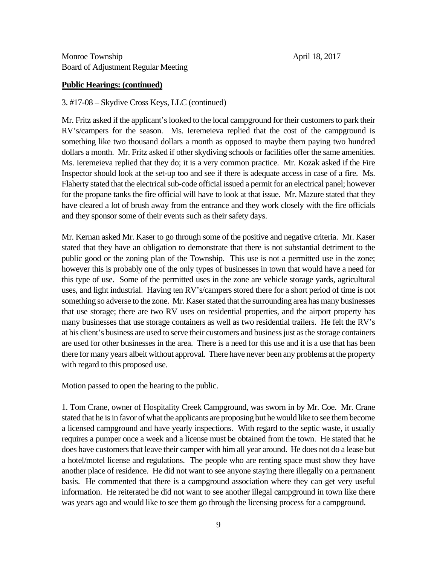## **Public Hearings: (continued)**

3. #17-08 – Skydive Cross Keys, LLC (continued)

Mr. Fritz asked if the applicant's looked to the local campground for their customers to park their RV's/campers for the season. Ms. Ieremeieva replied that the cost of the campground is something like two thousand dollars a month as opposed to maybe them paying two hundred dollars a month. Mr. Fritz asked if other skydiving schools or facilities offer the same amenities. Ms. Ieremeieva replied that they do; it is a very common practice. Mr. Kozak asked if the Fire Inspector should look at the set-up too and see if there is adequate access in case of a fire. Ms. Flaherty stated that the electrical sub-code official issued a permit for an electrical panel; however for the propane tanks the fire official will have to look at that issue. Mr. Mazure stated that they have cleared a lot of brush away from the entrance and they work closely with the fire officials and they sponsor some of their events such as their safety days.

Mr. Kernan asked Mr. Kaser to go through some of the positive and negative criteria. Mr. Kaser stated that they have an obligation to demonstrate that there is not substantial detriment to the public good or the zoning plan of the Township. This use is not a permitted use in the zone; however this is probably one of the only types of businesses in town that would have a need for this type of use. Some of the permitted uses in the zone are vehicle storage yards, agricultural uses, and light industrial. Having ten RV's/campers stored there for a short period of time is not something so adverse to the zone. Mr. Kaser stated that the surrounding area has many businesses that use storage; there are two RV uses on residential properties, and the airport property has many businesses that use storage containers as well as two residential trailers. He felt the RV's at his client's business are used to serve their customers and business just as the storage containers are used for other businesses in the area. There is a need for this use and it is a use that has been there for many years albeit without approval. There have never been any problems at the property with regard to this proposed use.

Motion passed to open the hearing to the public.

1. Tom Crane, owner of Hospitality Creek Campground, was sworn in by Mr. Coe. Mr. Crane stated that he is in favor of what the applicants are proposing but he would like to see them become a licensed campground and have yearly inspections. With regard to the septic waste, it usually requires a pumper once a week and a license must be obtained from the town. He stated that he does have customers that leave their camper with him all year around. He does not do a lease but a hotel/motel license and regulations. The people who are renting space must show they have another place of residence. He did not want to see anyone staying there illegally on a permanent basis. He commented that there is a campground association where they can get very useful information. He reiterated he did not want to see another illegal campground in town like there was years ago and would like to see them go through the licensing process for a campground.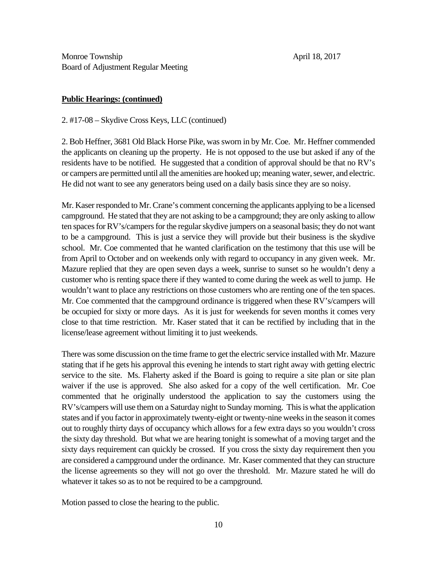## **Public Hearings: (continued)**

2. #17-08 – Skydive Cross Keys, LLC (continued)

2. Bob Heffner, 3681 Old Black Horse Pike, was sworn in by Mr. Coe. Mr. Heffner commended the applicants on cleaning up the property. He is not opposed to the use but asked if any of the residents have to be notified. He suggested that a condition of approval should be that no RV's or campers are permitted until all the amenities are hooked up; meaning water, sewer, and electric. He did not want to see any generators being used on a daily basis since they are so noisy.

Mr. Kaser responded to Mr. Crane's comment concerning the applicants applying to be a licensed campground. He stated that they are not asking to be a campground; they are only asking to allow ten spaces for RV's/campers for the regular skydive jumpers on a seasonal basis; they do not want to be a campground. This is just a service they will provide but their business is the skydive school. Mr. Coe commented that he wanted clarification on the testimony that this use will be from April to October and on weekends only with regard to occupancy in any given week. Mr. Mazure replied that they are open seven days a week, sunrise to sunset so he wouldn't deny a customer who is renting space there if they wanted to come during the week as well to jump. He wouldn't want to place any restrictions on those customers who are renting one of the ten spaces. Mr. Coe commented that the campground ordinance is triggered when these RV's/campers will be occupied for sixty or more days. As it is just for weekends for seven months it comes very close to that time restriction. Mr. Kaser stated that it can be rectified by including that in the license/lease agreement without limiting it to just weekends.

There was some discussion on the time frame to get the electric service installed with Mr. Mazure stating that if he gets his approval this evening he intends to start right away with getting electric service to the site. Ms. Flaherty asked if the Board is going to require a site plan or site plan waiver if the use is approved. She also asked for a copy of the well certification. Mr. Coe commented that he originally understood the application to say the customers using the RV's/campers will use them on a Saturday night to Sunday morning. This is what the application states and if you factor in approximately twenty-eight or twenty-nine weeks in the season it comes out to roughly thirty days of occupancy which allows for a few extra days so you wouldn't cross the sixty day threshold. But what we are hearing tonight is somewhat of a moving target and the sixty days requirement can quickly be crossed. If you cross the sixty day requirement then you are considered a campground under the ordinance. Mr. Kaser commented that they can structure the license agreements so they will not go over the threshold. Mr. Mazure stated he will do whatever it takes so as to not be required to be a campground.

Motion passed to close the hearing to the public.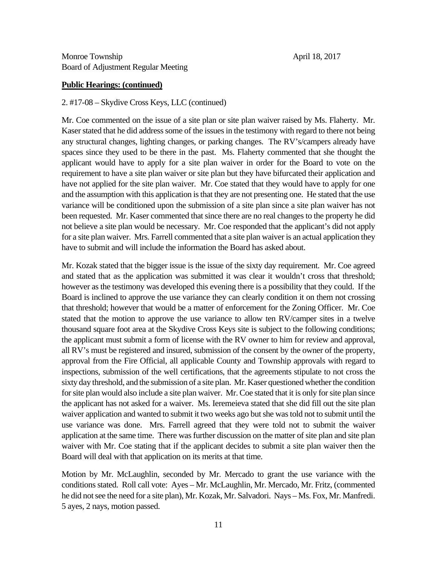#### **Public Hearings: (continued)**

#### 2. #17-08 – Skydive Cross Keys, LLC (continued)

Mr. Coe commented on the issue of a site plan or site plan waiver raised by Ms. Flaherty. Mr. Kaser stated that he did address some of the issues in the testimony with regard to there not being any structural changes, lighting changes, or parking changes. The RV's/campers already have spaces since they used to be there in the past. Ms. Flaherty commented that she thought the applicant would have to apply for a site plan waiver in order for the Board to vote on the requirement to have a site plan waiver or site plan but they have bifurcated their application and have not applied for the site plan waiver. Mr. Coe stated that they would have to apply for one and the assumption with this application is that they are not presenting one. He stated that the use variance will be conditioned upon the submission of a site plan since a site plan waiver has not been requested. Mr. Kaser commented that since there are no real changes to the property he did not believe a site plan would be necessary. Mr. Coe responded that the applicant's did not apply for a site plan waiver. Mrs. Farrell commented that a site plan waiver is an actual application they have to submit and will include the information the Board has asked about.

Mr. Kozak stated that the bigger issue is the issue of the sixty day requirement. Mr. Coe agreed and stated that as the application was submitted it was clear it wouldn't cross that threshold; however as the testimony was developed this evening there is a possibility that they could. If the Board is inclined to approve the use variance they can clearly condition it on them not crossing that threshold; however that would be a matter of enforcement for the Zoning Officer. Mr. Coe stated that the motion to approve the use variance to allow ten RV/camper sites in a twelve thousand square foot area at the Skydive Cross Keys site is subject to the following conditions; the applicant must submit a form of license with the RV owner to him for review and approval, all RV's must be registered and insured, submission of the consent by the owner of the property, approval from the Fire Official, all applicable County and Township approvals with regard to inspections, submission of the well certifications, that the agreements stipulate to not cross the sixty day threshold, and the submission of a site plan. Mr. Kaser questioned whether the condition for site plan would also include a site plan waiver. Mr. Coe stated that it is only for site plan since the applicant has not asked for a waiver. Ms. Ieremeieva stated that she did fill out the site plan waiver application and wanted to submit it two weeks ago but she was told not to submit until the use variance was done. Mrs. Farrell agreed that they were told not to submit the waiver application at the same time. There was further discussion on the matter of site plan and site plan waiver with Mr. Coe stating that if the applicant decides to submit a site plan waiver then the Board will deal with that application on its merits at that time.

Motion by Mr. McLaughlin, seconded by Mr. Mercado to grant the use variance with the conditions stated. Roll call vote: Ayes – Mr. McLaughlin, Mr. Mercado, Mr. Fritz, (commented he did not see the need for a site plan), Mr. Kozak, Mr. Salvadori. Nays – Ms. Fox, Mr. Manfredi. 5 ayes, 2 nays, motion passed.